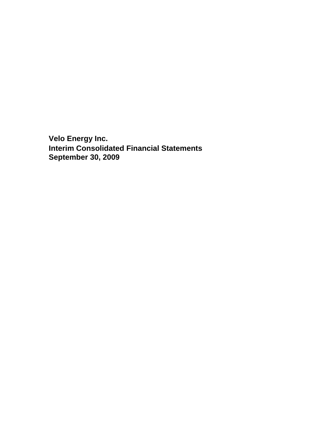**Velo Energy Inc. Interim Consolidated Financial Statements September 30, 2009**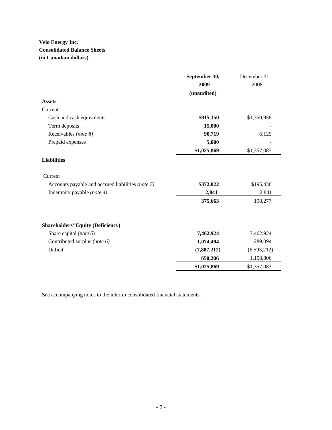# **Velo Energy Inc. Consolidated Balance Sheets (in Canadian dollars)**

|                                                   | September 30, | December 31,  |
|---------------------------------------------------|---------------|---------------|
|                                                   | 2009          | 2008          |
|                                                   | (unaudited)   |               |
| <b>Assets</b>                                     |               |               |
| Current                                           |               |               |
| Cash and cash equivalents                         | \$915,150     | \$1,350,958   |
| Term deposits                                     | 15,000        |               |
| Receivables (note 8)                              | 90,719        | 6,125         |
| Prepaid expenses                                  | 5,000         |               |
|                                                   | \$1,025,869   | \$1,357,083   |
| <b>Liabilities</b>                                |               |               |
| Current                                           |               |               |
| Accounts payable and accrued liabilities (note 7) | \$372,822     | \$195,436     |
| Indemnity payable (note 4)                        | 2,841         | 2,841         |
|                                                   | 375,663       | 198,277       |
| <b>Shareholders' Equity (Deficiency)</b>          |               |               |
| Share capital (note 5)                            | 7,462,924     | 7,462,924     |
| Contributed surplus (note 6)                      | 1,074,494     | 289,094       |
| Deficit                                           | (7,887,212)   | (6, 593, 212) |
|                                                   | 650,206       | 1,158,806     |
|                                                   | \$1,025,869   | \$1,357,083   |

See accompanying notes to the interim consolidated financial statements.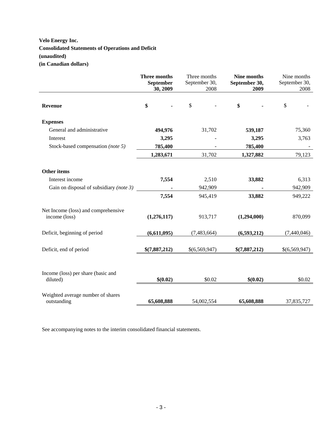# **Velo Energy Inc. Consolidated Statements of Operations and Deficit (unaudited) (in Canadian dollars)**

|                                                      | Three months<br>September<br>30, 2009 | Three months<br>September 30,<br>2008 | Nine months<br>September 30,<br>2009 | Nine months<br>September 30,<br>2008 |
|------------------------------------------------------|---------------------------------------|---------------------------------------|--------------------------------------|--------------------------------------|
| <b>Revenue</b>                                       | \$                                    | $\mathbb{S}$                          | \$                                   | \$                                   |
| <b>Expenses</b>                                      |                                       |                                       |                                      |                                      |
| General and administrative                           | 494,976                               | 31,702                                | 539,187                              | 75,360                               |
| Interest                                             | 3,295                                 |                                       | 3,295                                | 3,763                                |
| Stock-based compensation (note 5)                    | 785,400                               |                                       | 785,400                              |                                      |
|                                                      | 1,283,671                             | 31,702                                | 1,327,882                            | 79,123                               |
| Other items<br>Interest income                       | 7,554                                 | 2,510                                 | 33,882                               | 6,313                                |
| Gain on disposal of subsidiary (note 3)              |                                       | 942,909                               |                                      | 942,909                              |
|                                                      | 7,554                                 | 945,419                               | 33,882                               | 949,222                              |
| Net Income (loss) and comprehensive<br>income (loss) | (1,276,117)                           | 913,717                               | (1,294,000)                          | 870,099                              |
| Deficit, beginning of period                         | (6,611,095)                           | (7,483,664)                           | (6,593,212)                          | (7,440,046)                          |
| Deficit, end of period                               | \$(7,887,212)                         | \$(6,569,947)                         | \$(7,887,212)                        | \$(6,569,947)                        |
| Income (loss) per share (basic and<br>diluted)       | \$(0.02)                              | \$0.02                                | \$(0.02)                             | \$0.02                               |
| Weighted average number of shares<br>outstanding     | 65,608,888                            | 54,002,554                            | 65,608,888                           | 37,835,727                           |

See accompanying notes to the interim consolidated financial statements.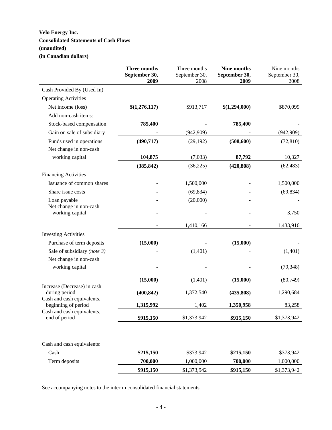# **Velo Energy Inc. Consolidated Statements of Cash Flows (unaudited) (in Canadian dollars)**

|                                                   | Three months<br>September 30,<br>2009 | Three months<br>September 30,<br>2008 | Nine months<br>September 30,<br>2009 | Nine months<br>September 30,<br>2008 |
|---------------------------------------------------|---------------------------------------|---------------------------------------|--------------------------------------|--------------------------------------|
| Cash Provided By (Used In)                        |                                       |                                       |                                      |                                      |
| <b>Operating Activities</b>                       |                                       |                                       |                                      |                                      |
| Net income (loss)                                 | \$(1,276,117)                         | \$913,717                             | \$(1,294,000)                        | \$870,099                            |
| Add non-cash items:                               |                                       |                                       |                                      |                                      |
| Stock-based compensation                          | 785,400                               |                                       | 785,400                              |                                      |
| Gain on sale of subsidiary                        |                                       | (942,909)                             |                                      | (942,909)                            |
| Funds used in operations                          | (490, 717)                            | (29, 192)                             | (508, 600)                           | (72, 810)                            |
| Net change in non-cash                            |                                       |                                       |                                      |                                      |
| working capital                                   | 104,875                               | (7,033)                               | 87,792                               | 10,327                               |
|                                                   | (385, 842)                            | (36, 225)                             | (420, 808)                           | (62, 483)                            |
| <b>Financing Activities</b>                       |                                       |                                       |                                      |                                      |
| Issuance of common shares                         |                                       | 1,500,000                             |                                      | 1,500,000                            |
| Share issue costs                                 |                                       | (69, 834)                             |                                      | (69, 834)                            |
| Loan payable                                      |                                       | (20,000)                              |                                      |                                      |
| Net change in non-cash<br>working capital         |                                       |                                       |                                      | 3,750                                |
|                                                   |                                       | 1,410,166                             |                                      | 1,433,916                            |
| <b>Investing Activities</b>                       |                                       |                                       |                                      |                                      |
| Purchase of term deposits                         | (15,000)                              |                                       | (15,000)                             |                                      |
| Sale of subsidiary (note 3)                       |                                       | (1,401)                               |                                      | (1,401)                              |
| Net change in non-cash                            |                                       |                                       |                                      |                                      |
| working capital                                   |                                       |                                       |                                      | (79, 348)                            |
|                                                   | (15,000)                              | (1,401)                               | (15,000)                             | (80, 749)                            |
| Increase (Decrease) in cash<br>during period      | (400, 842)                            | 1,372,540                             | (435,808)                            | 1,290,684                            |
| Cash and cash equivalents,<br>beginning of period | 1,315,992                             | 1,402                                 | 1,350,958                            | 83,258                               |
| Cash and cash equivalents,                        |                                       |                                       |                                      |                                      |
| end of period                                     | \$915,150                             | \$1,373,942                           | \$915,150                            | \$1,373,942                          |
|                                                   |                                       |                                       |                                      |                                      |
| Cash and cash equivalents:                        |                                       |                                       |                                      |                                      |
| Cash                                              | \$215,150                             | \$373,942                             | \$215,150                            | \$373,942                            |
| Term deposits                                     | 700,000                               | 1,000,000                             | 700,000                              | 1,000,000                            |
|                                                   | \$915,150                             | \$1,373,942                           | \$915,150                            | \$1,373,942                          |

See accompanying notes to the interim consolidated financial statements.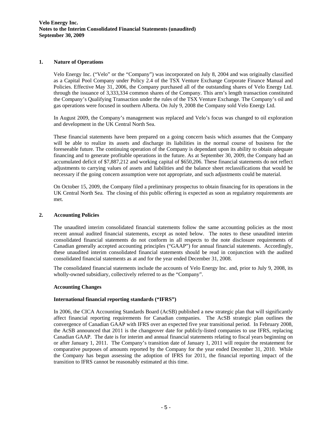# **1. Nature of Operations**

Velo Energy Inc. ("Velo" or the "Company") was incorporated on July 8, 2004 and was originally classified as a Capital Pool Company under Policy 2.4 of the TSX Venture Exchange Corporate Finance Manual and Policies. Effective May 31, 2006, the Company purchased all of the outstanding shares of Velo Energy Ltd. through the issuance of 3,333,334 common shares of the Company. This arm's length transaction constituted the Company's Qualifying Transaction under the rules of the TSX Venture Exchange. The Company's oil and gas operations were focused in southern Alberta. On July 9, 2008 the Company sold Velo Energy Ltd.

In August 2009, the Company's management was replaced and Velo's focus was changed to oil exploration and development in the UK Central North Sea.

 These financial statements have been prepared on a going concern basis which assumes that the Company will be able to realize its assets and discharge its liabilities in the normal course of business for the foreseeable future. The continuing operation of the Company is dependant upon its ability to obtain adequate financing and to generate profitable operations in the future. As at September 30, 2009, the Company had an accumulated deficit of \$7,887,212 and working capital of \$650,206. These financial statements do not reflect adjustments to carrying values of assets and liabilities and the balance sheet reclassifications that would be necessary if the going concern assumption were not appropriate, and such adjustments could be material.

On October 15, 2009, the Company filed a preliminary prospectus to obtain financing for its operations in the UK Central North Sea. The closing of this public offering is expected as soon as regulatory requirements are met.

#### **2. Accounting Policies**

The unaudited interim consolidated financial statements follow the same accounting policies as the most recent annual audited financial statements, except as noted below. The notes to these unaudited interim consolidated financial statements do not conform in all respects to the note disclosure requirements of Canadian generally accepted accounting principles ("GAAP") for annual financial statements. Accordingly, these unaudited interim consolidated financial statements should be read in conjunction with the audited consolidated financial statements as at and for the year ended December 31, 2008.

The consolidated financial statements include the accounts of Velo Energy Inc. and, prior to July 9, 2008, its wholly-owned subsidiary, collectively referred to as the "Company".

#### **Accounting Changes**

#### **International financial reporting standards ("IFRS")**

In 2006, the CICA Accounting Standards Board (AcSB) published a new strategic plan that will significantly affect financial reporting requirements for Canadian companies. The AcSB strategic plan outlines the convergence of Canadian GAAP with IFRS over an expected five year transitional period. In February 2008, the AcSB announced that 2011 is the changeover date for publicly-listed companies to use IFRS, replacing Canadian GAAP. The date is for interim and annual financial statements relating to fiscal years beginning on or after January 1, 2011. The Company's transition date of January 1, 2011 will require the restatement for comparative purposes of amounts reported by the Company for the year ended December 31, 2010. While the Company has begun assessing the adoption of IFRS for 2011, the financial reporting impact of the transition to IFRS cannot be reasonably estimated at this time.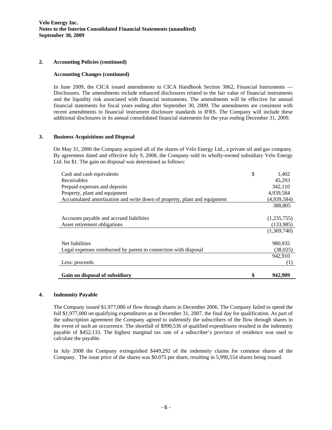# **2. Accounting Policies (continued)**

# **Accounting Changes (continued)**

In June 2009, the CICA issued amendments to CICA Handbook Section 3862, Financial Instruments — Disclosures. The amendments include enhanced disclosures related to the fair value of financial instruments and the liquidity risk associated with financial instruments. The amendments will be effective for annual financial statements for fiscal years ending after September 30, 2009. The amendments are consistent with recent amendments to financial instrument disclosure standards in IFRS. The Company will include these additional disclosures in its annual consolidated financial statements for the year ending December 31, 2009.

# **3. Business Acquisitions and Disposal**

On May 31, 2006 the Company acquired all of the shares of Velo Energy Ltd., a private oil and gas company. By agreement dated and effective July 9, 2008, the Company sold its wholly-owned subsidiary Velo Energy Ltd. for \$1. The gain on disposal was determined as follows:

| Cash and cash equivalents                                                | \$<br>1,402 |
|--------------------------------------------------------------------------|-------------|
| Receivables                                                              | 45.293      |
| Prepaid expenses and deposits                                            | 342,110     |
| Property, plant and equipment                                            | 4,939,584   |
| Accumulated amortization and write down of property, plant and equipment | (4,939,584) |
|                                                                          | 388,805     |
|                                                                          |             |
| Accounts payable and accrued liabilities                                 | (1,235,755) |
| Asset retirement obligations                                             | (133,985)   |
|                                                                          | (1,369,740) |
|                                                                          |             |
| Net liabilities                                                          | 980,935     |
| Legal expenses reimbursed by parent in connection with disposal          | (38,025)    |
|                                                                          | 942,910     |
| Less: proceeds                                                           | (1)         |
|                                                                          |             |
| Gain on disposal of subsidiary                                           | 942,909     |

# **4. Indemnity Payable**

The Company issued \$1,977,000 of flow through shares in December 2006. The Company failed to spend the full \$1,977,000 on qualifying expenditures as at December 31, 2007, the final day for qualification. As part of the subscription agreement the Company agreed to indemnify the subscribers of the flow through shares in the event of such an occurrence. The shortfall of \$990,536 of qualified expenditures resulted in the indemnity payable of \$452,133. The highest marginal tax rate of a subscriber's province of residence was used to calculate the payable.

In July 2008 the Company extinguished \$449,292 of the indemnity claims for common shares of the Company. The issue price of the shares was \$0.075 per share, resulting in 5,990,554 shares being issued.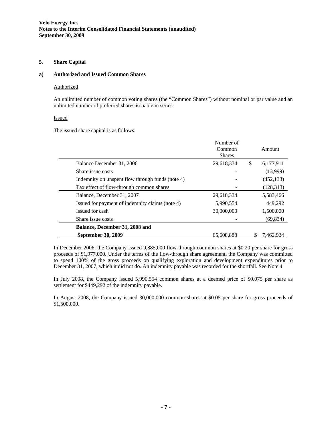# **5. Share Capital**

#### **a) Authorized and Issued Common Shares**

#### **Authorized**

An unlimited number of common voting shares (the "Common Shares") without nominal or par value and an unlimited number of preferred shares issuable in series.

# Issued

The issued share capital is as follows:

|                                                  | Number of<br>Common<br><b>Shares</b> | Amount          |
|--------------------------------------------------|--------------------------------------|-----------------|
| Balance December 31, 2006                        | 29,618,334                           | \$<br>6,177,911 |
| Share issue costs                                |                                      | (13,999)        |
| Indemnity on unspent flow through funds (note 4) |                                      | (452, 133)      |
| Tax effect of flow-through common shares         |                                      | (128, 313)      |
| Balance, December 31, 2007                       | 29,618,334                           | 5,583,466       |
| Issued for payment of indemnity claims (note 4)  | 5,990,554                            | 449,292         |
| Issued for cash                                  | 30,000,000                           | 1,500,000       |
| Share issue costs                                |                                      | (69, 834)       |
| Balance, December 31, 2008 and                   |                                      |                 |
| September 30, 2009                               | 65,608,888                           | 7.462.924       |

In December 2006, the Company issued 9,885,000 flow-through common shares at \$0.20 per share for gross proceeds of \$1,977,000. Under the terms of the flow-through share agreement, the Company was committed to spend 100% of the gross proceeds on qualifying exploration and development expenditures prior to December 31, 2007, which it did not do. An indemnity payable was recorded for the shortfall. See Note 4.

In July 2008, the Company issued 5,990,554 common shares at a deemed price of \$0.075 per share as settlement for \$449,292 of the indemnity payable.

In August 2008, the Company issued 30,000,000 common shares at \$0.05 per share for gross proceeds of \$1,500,000.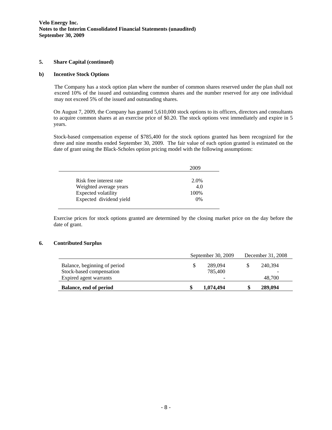#### **5. Share Capital (continued)**

# **b) Incentive Stock Options**

The Company has a stock option plan where the number of common shares reserved under the plan shall not exceed 10% of the issued and outstanding common shares and the number reserved for any one individual may not exceed 5% of the issued and outstanding shares.

On August 7, 2009, the Company has granted 5,610,000 stock options to its officers, directors and consultants to acquire common shares at an exercise price of \$0.20. The stock options vest immediately and expire in 5 years.

Stock-based compensation expense of \$785,400 for the stock options granted has been recognized for the three and nine months ended September 30, 2009. The fair value of each option granted is estimated on the date of grant using the Black-Scholes option pricing model with the following assumptions:

| 2009 |
|------|
| 2.0% |
| 4.0  |
|      |
| 100% |
| 0%   |
|      |

Exercise prices for stock options granted are determined by the closing market price on the day before the date of grant.

# **6. Contributed Surplus**

|                                                          | September 30, 2009 |                          | December 31, 2008 |         |
|----------------------------------------------------------|--------------------|--------------------------|-------------------|---------|
| Balance, beginning of period<br>Stock-based compensation | S                  | 289,094<br>785,400       | S                 | 240.394 |
| Expired agent warrants                                   |                    | $\overline{\phantom{a}}$ |                   | 48.700  |
| Balance, end of period                                   | \$                 | 1,074,494                | J.                | 289,094 |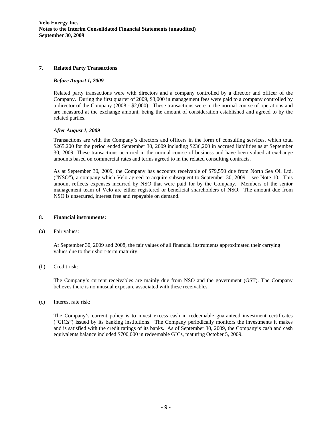# **7. Related Party Transactions**

# *Before August 1, 2009*

Related party transactions were with directors and a company controlled by a director and officer of the Company. During the first quarter of 2009, \$3,000 in management fees were paid to a company controlled by a director of the Company (2008 - \$2,000). These transactions were in the normal course of operations and are measured at the exchange amount, being the amount of consideration established and agreed to by the related parties.

# *After August 1, 2009*

Transactions are with the Company's directors and officers in the form of consulting services, which total \$265,200 for the period ended September 30, 2009 including \$236,200 in accrued liabilities as at September 30, 2009. These transactions occurred in the normal course of business and have been valued at exchange amounts based on commercial rates and terms agreed to in the related consulting contracts.

As at September 30, 2009, the Company has accounts receivable of \$79,550 due from North Sea Oil Ltd. ("NSO"), a company which Velo agreed to acquire subsequent to September 30, 2009 – see Note 10. This amount reflects expenses incurred by NSO that were paid for by the Company. Members of the senior management team of Velo are either registered or beneficial shareholders of NSO. The amount due from NSO is unsecured, interest free and repayable on demand.

# **8. Financial instruments:**

(a) Fair values:

At September 30, 2009 and 2008, the fair values of all financial instruments approximated their carrying values due to their short-term maturity.

(b) Credit risk:

The Company's current receivables are mainly due from NSO and the government (GST). The Company believes there is no unusual exposure associated with these receivables.

(c) Interest rate risk:

The Company's current policy is to invest excess cash in redeemable guaranteed investment certificates ("GICs") issued by its banking institutions. The Company periodically monitors the investments it makes and is satisfied with the credit ratings of its banks. As of September 30, 2009, the Company's cash and cash equivalents balance included \$700,000 in redeemable GICs, maturing October 5, 2009.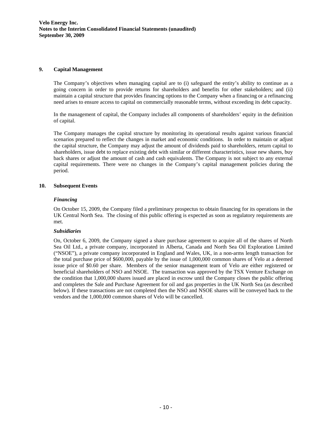# **9. Capital Management**

The Company's objectives when managing capital are to (i) safeguard the entity's ability to continue as a going concern in order to provide returns for shareholders and benefits for other stakeholders; and (ii) maintain a capital structure that provides financing options to the Company when a financing or a refinancing need arises to ensure access to capital on commercially reasonable terms, without exceeding its debt capacity.

In the management of capital, the Company includes all components of shareholders' equity in the definition of capital.

The Company manages the capital structure by monitoring its operational results against various financial scenarios prepared to reflect the changes in market and economic conditions. In order to maintain or adjust the capital structure, the Company may adjust the amount of dividends paid to shareholders, return capital to shareholders, issue debt to replace existing debt with similar or different characteristics, issue new shares, buy back shares or adjust the amount of cash and cash equivalents. The Company is not subject to any external capital requirements. There were no changes in the Company's capital management policies during the period.

# **10. Subsequent Events**

# *Financing*

On October 15, 2009, the Company filed a preliminary prospectus to obtain financing for its operations in the UK Central North Sea. The closing of this public offering is expected as soon as regulatory requirements are met.

#### *Subsidiaries*

On, October 6, 2009, the Company signed a share purchase agreement to acquire all of the shares of North Sea Oil Ltd., a private company, incorporated in Alberta, Canada and North Sea Oil Exploration Limited ("NSOE"), a private company incorporated in England and Wales, UK, in a non-arms length transaction for the total purchase price of \$600,000, payable by the issue of 1,000,000 common shares of Velo at a deemed issue price of \$0.60 per share. Members of the senior management team of Velo are either registered or beneficial shareholders of NSO and NSOE. The transaction was approved by the TSX Venture Exchange on the condition that 1,000,000 shares issued are placed in escrow until the Company closes the public offering and completes the Sale and Purchase Agreement for oil and gas properties in the UK North Sea (as described below). If these transactions are not completed then the NSO and NSOE shares will be conveyed back to the vendors and the 1,000,000 common shares of Velo will be cancelled.